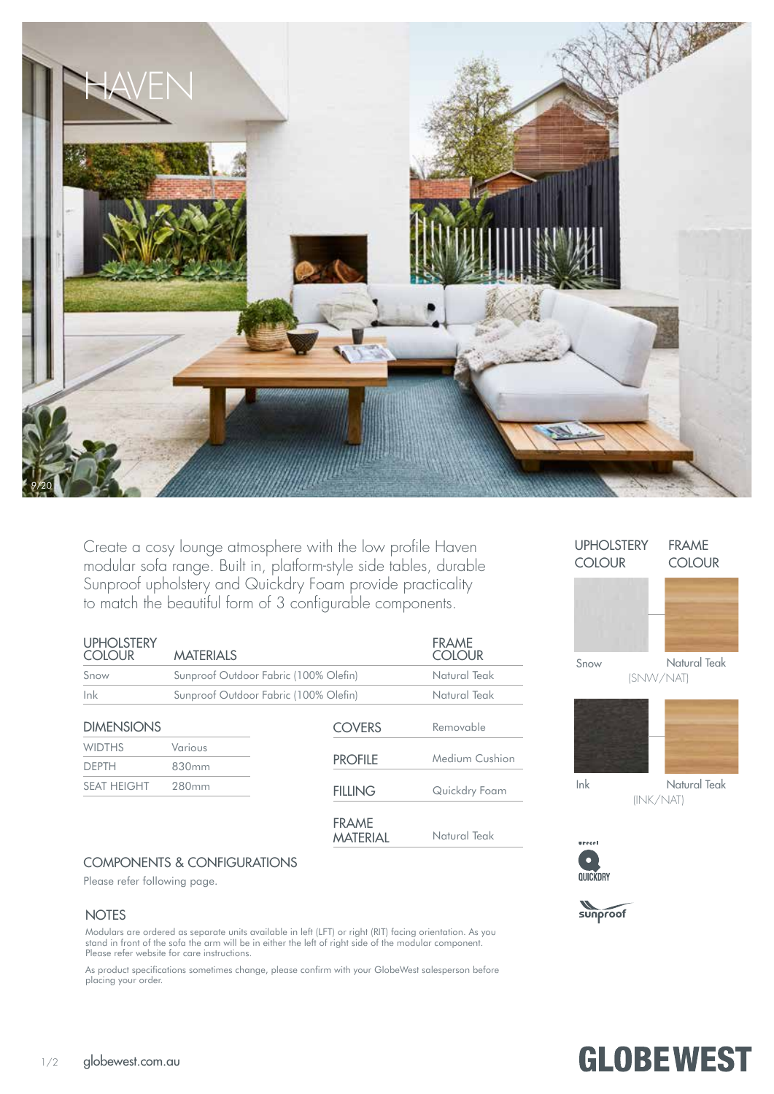

Create a cosy lounge atmosphere with the low profile Haven modular sofa range. Built in, platform-style side tables, durable Sunproof upholstery and Quickdry Foam provide practicality to match the beautiful form of 3 configurable components.

| <b>UPHOLSTERY</b><br><b>COLOUR</b> | <b>MATERIALS</b>                      |                                       | <b>FRAME</b><br><b>COLOUR</b> |  |
|------------------------------------|---------------------------------------|---------------------------------------|-------------------------------|--|
| Snow                               |                                       | Sunproof Outdoor Fabric (100% Olefin) |                               |  |
| lnk                                | Sunproof Outdoor Fabric (100% Olefin) | Natural Teak                          |                               |  |
| <b>DIMENSIONS</b>                  |                                       | <b>COVERS</b>                         | Removable                     |  |
| <b>WIDTHS</b><br><b>DFPTH</b>      | Various<br>830mm                      | <b>PROFILE</b>                        | Medium Cushion                |  |
| <b>SEAT HEIGHT</b>                 | 280mm                                 | <b>FILLING</b>                        | Quickdry Foam                 |  |
|                                    |                                       | <b>FRAME</b><br><b>MATERIAL</b>       | Natural Teak                  |  |

#### UPHOLSTERY FRAME COLOUR COLOUR



Snow

Natural Teak (SNW/NAT)



Natural Teak (INK/NAT)

**GLOBEWEST** 



Ink



## COMPONENTS & CONFIGURATIONS

Please refer following page.

#### **NOTES**

Modulars are ordered as separate units available in left (LFT) or right (RIT) facing orientation. As you stand in front of the sofa the arm will be in either the left of right side of the modular component. Please refer website for care instructions.

As product specifications sometimes change, please confirm with your GlobeWest salesperson before placing your order.